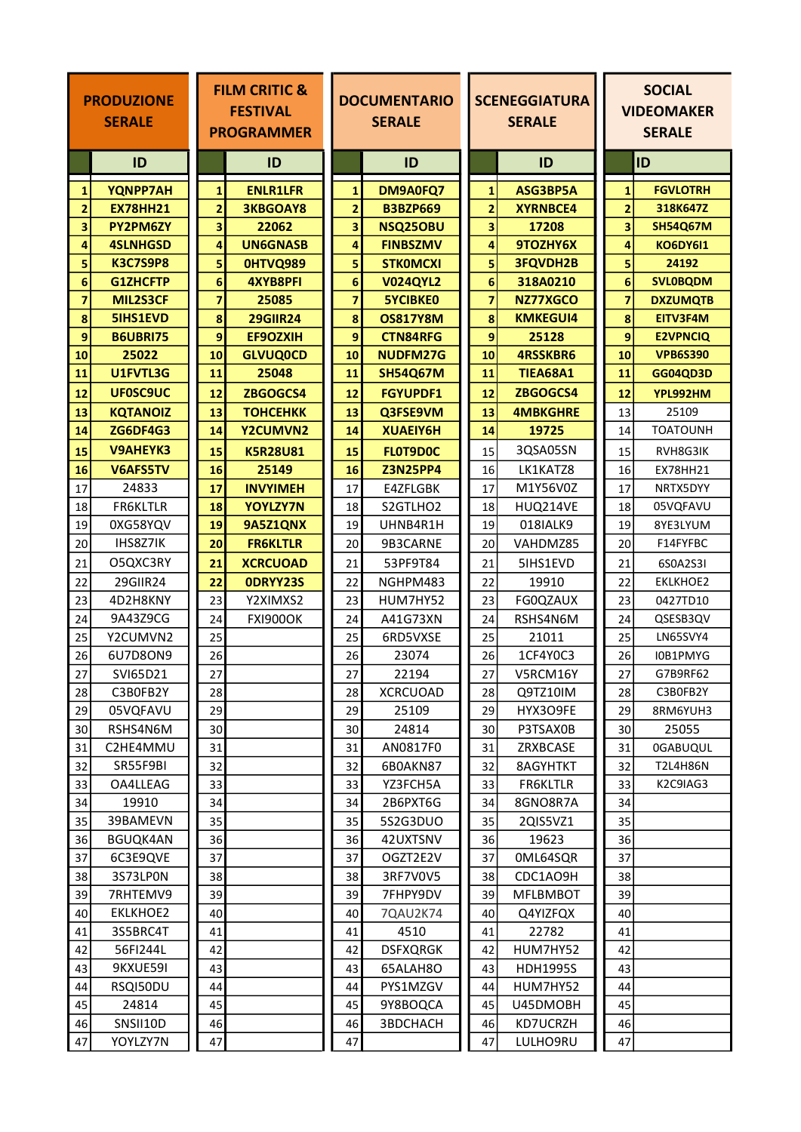|          | <b>PRODUZIONE</b><br><b>SERALE</b>  | <b>FILM CRITIC &amp;</b><br><b>FESTIVAL</b><br><b>PROGRAMMER</b> |                 | <b>DOCUMENTARIO</b><br><b>SERALE</b> |                             | <b>SCENEGGIATURA</b><br><b>SERALE</b> |                             | <b>SOCIAL</b><br><b>VIDEOMAKER</b><br><b>SERALE</b> |                 |
|----------|-------------------------------------|------------------------------------------------------------------|-----------------|--------------------------------------|-----------------------------|---------------------------------------|-----------------------------|-----------------------------------------------------|-----------------|
|          | ID                                  |                                                                  | ID              |                                      | ID                          |                                       | ID                          |                                                     | <b>ID</b>       |
|          | YQNPP7AH<br>$\mathbf{1}$            | $\mathbf{1}$                                                     | <b>ENLR1LFR</b> | 1                                    | DM9A0FQ7                    | 1                                     | ASG3BP5A                    | $\mathbf{1}$                                        | <b>FGVLOTRH</b> |
|          | $\overline{2}$<br><b>EX78HH21</b>   | $\overline{\mathbf{2}}$                                          | <b>3KBGOAY8</b> | $\overline{\mathbf{2}}$              | <b>B3BZP669</b>             | $\overline{2}$                        | <b>XYRNBCE4</b>             | $\overline{2}$                                      | 318K647Z        |
|          | 3<br>PY2PM6ZY                       | 3                                                                | 22062           | 3                                    | NSQ25OBU                    | 3                                     | 17208                       | 3                                                   | <b>SH54Q67M</b> |
|          | 4<br><b>4SLNHGSD</b>                | 4                                                                | <b>UN6GNASB</b> | 4                                    | <b>FINBSZMV</b>             | 4                                     | 9TOZHY6X                    | 4                                                   | <b>KO6DY6I1</b> |
|          | 5<br><b>K3C7S9P8</b>                | 5                                                                | OHTVQ989        | 5                                    | <b>STKOMCXI</b>             | 5                                     | <b>3FQVDH2B</b>             | 5                                                   | 24192           |
|          | 6<br><b>G1ZHCFTP</b>                | 6                                                                | <b>4XYB8PFI</b> | 6                                    | <b>V024QYL2</b>             | 6                                     | 318A0210                    | 6                                                   | <b>SVLOBQDM</b> |
|          | $\overline{\mathbf{z}}$<br>MIL2S3CF | $\overline{\mathbf{z}}$                                          | 25085           | $\overline{7}$                       | <b>5YCIBKE0</b>             | 7                                     | NZ77XGCO                    | $\overline{7}$                                      | <b>DXZUMQTB</b> |
|          | 8<br>5IHS1EVD                       | 8                                                                | <b>29GIIR24</b> | 8                                    | <b>OS817Y8M</b>             | 8                                     | <b>KMKEGUI4</b>             | 8                                                   | EITV3F4M        |
|          | $\mathbf{9}$<br><b>B6UBRI75</b>     | 9                                                                | EF9OZXIH        | 9                                    | <b>CTN84RFG</b>             | 9                                     | 25128                       | 9                                                   | <b>E2VPNCIQ</b> |
| 10       | 25022                               | 10                                                               | <b>GLVUQ0CD</b> | 10                                   | NUDFM27G                    | 10                                    | <b>4RSSKBR6</b>             | 10                                                  | <b>VPB6S390</b> |
| 11       | U1FVTL3G                            | 11                                                               | 25048           | 11                                   | <b>SH54Q67M</b>             | 11                                    | <b>TIEA68A1</b>             | 11                                                  | <b>GG04QD3D</b> |
| 12       | UF0SC9UC                            | 12                                                               | ZBGOGCS4        | 12                                   | <b>FGYUPDF1</b>             | 12                                    | ZBGOGCS4                    | 12                                                  | YPL992HM        |
| 13       | <b>KQTANOIZ</b>                     | 13                                                               | <b>ТОНСЕНКК</b> | 13                                   | Q3FSE9VM                    | 13                                    | <b>4MBKGHRE</b>             | 13                                                  | 25109           |
| 14       | <b>ZG6DF4G3</b>                     | 14                                                               | Y2CUMVN2        | 14                                   | XUAEIY6H                    | 14                                    | 19725                       | 14                                                  | <b>TOATOUNH</b> |
| 15       | <b>V9AHEYK3</b>                     | 15                                                               | <b>K5R28U81</b> | 15                                   | FLOT9DOC                    | 15                                    | 3QSA05SN                    | 15                                                  | RVH8G3IK        |
| 16       | V6AFS5TV                            | 16                                                               | 25149           | 16                                   | <b>Z3N25PP4</b>             | 16                                    | LK1KATZ8                    | 16                                                  | <b>EX78HH21</b> |
| 17       | 24833                               | 17                                                               | <b>INVYIMEH</b> | 17                                   | E4ZFLGBK                    | 17                                    | M1Y56V0Z                    | 17                                                  | NRTX5DYY        |
| 18       | <b>FR6KLTLR</b>                     | 18                                                               | <b>YOYLZY7N</b> | 18                                   | S2GTLHO2                    | 18                                    | HUQ214VE                    | 18                                                  | 05VQFAVU        |
| 19       | 0XG58YQV                            | 19                                                               | 9A5Z1QNX        | 19                                   | UHNB4R1H                    | 19                                    | 018IALK9                    | 19                                                  | 8YE3LYUM        |
| 20       | IHS8Z7IK                            | 20                                                               | <b>FR6KLTLR</b> | 20                                   | 9B3CARNE                    | 20                                    | VAHDMZ85                    | 20                                                  | F14FYFBC        |
| 21       | O5QXC3RY                            | 21                                                               | <b>XCRCUOAD</b> | 21                                   | 53PF9T84                    | 21                                    | 5IHS1EVD                    | 21                                                  | 6S0A2S3I        |
| 22       | 29GIIR24                            | 22                                                               | ODRYY23S        | 22                                   | NGHPM483                    | 22                                    | 19910                       | 22                                                  | EKLKHOE2        |
| 23       | 4D2H8KNY                            | 23                                                               | Y2XIMXS2        | 23                                   | HUM7HY52                    | 23                                    | FG0QZAUX                    | 23                                                  | 0427TD10        |
| 24       | 9A43Z9CG                            | 24                                                               | <b>FXI900OK</b> | 24                                   | A41G73XN                    | 24                                    | RSHS4N6M                    | 24                                                  | QSESB3QV        |
| 25       | Y2CUMVN2                            | 25                                                               |                 | 25                                   | 6RD5VXSE                    | 25                                    | 21011                       | 25                                                  | LN65SVY4        |
| 26       | 6U7D8ON9                            | 26                                                               |                 | 26                                   | 23074                       | 26                                    | 1CF4Y0C3                    | 26                                                  | I0B1PMYG        |
| 27       | SVI65D21                            | 27                                                               |                 | 27                                   | 22194                       | 27                                    | V5RCM16Y                    | 27                                                  | G7B9RF62        |
| 28       | C3B0FB2Y                            | 28                                                               |                 | 28                                   | <b>XCRCUOAD</b>             | 28                                    | Q9TZ10IM                    | 28                                                  | C3B0FB2Y        |
| 29       | 05VQFAVU                            | 29                                                               |                 | 29                                   | 25109                       | 29                                    | HYX3O9FE                    | 29                                                  | 8RM6YUH3        |
| 30       | RSHS4N6M                            | 30                                                               |                 | 30                                   | 24814                       | 30                                    | P3TSAX0B                    | 30                                                  | 25055           |
| 31       | C2HE4MMU                            | 31                                                               |                 | 31                                   | AN0817F0                    | 31                                    | ZRXBCASE                    | 31                                                  | <b>OGABUQUL</b> |
| 32       | SR55F9BI                            | 32                                                               |                 | 32                                   | 6B0AKN87                    | 32                                    | 8AGYHTKT                    | 32                                                  | <b>T2L4H86N</b> |
| 33       | OA4LLEAG                            | 33                                                               |                 | 33                                   | YZ3FCH5A                    | 33                                    | <b>FR6KLTLR</b>             | 33                                                  | K2C9IAG3        |
| 34       | 19910                               | 34                                                               |                 | 34                                   | 2B6PXT6G                    | 34                                    | 8GNO8R7A                    | 34                                                  |                 |
| 35       | 39BAMEVN                            | 35                                                               |                 | 35                                   | 5S2G3DUO                    | 35                                    | 2QIS5VZ1                    | 35                                                  |                 |
| 36       | <b>BGUQK4AN</b>                     | 36                                                               |                 | 36                                   | 42UXTSNV                    | 36                                    | 19623                       | 36                                                  |                 |
| 37       | 6C3E9QVE                            | 37                                                               |                 | 37                                   | OGZT2E2V                    | 37                                    | 0ML64SQR                    | 37                                                  |                 |
| 38       | 3S73LPON                            | 38                                                               |                 | 38                                   | 3RF7V0V5                    | 38                                    | CDC1AO9H                    | 38                                                  |                 |
| 39       | 7RHTEMV9                            | 39                                                               |                 | 39                                   | 7FHPY9DV                    | 39                                    | <b>MFLBMBOT</b>             | 39                                                  |                 |
| 40       | EKLKHOE2                            | 40                                                               |                 | 40                                   | 7QAU2K74<br>4510            | 40                                    | Q4YIZFQX<br>22782           | 40                                                  |                 |
| 41       | 3S5BRC4T                            | 41                                                               |                 | 41                                   |                             | 41                                    |                             | 41                                                  |                 |
| 42<br>43 | 56FI244L<br>9KXUE59I                | 42<br>43                                                         |                 | 42<br>43                             | <b>DSFXQRGK</b><br>65ALAH8O | 42<br>43                              | HUM7HY52<br><b>HDH1995S</b> | 42<br>43                                            |                 |
| 44       | RSQI50DU                            | 44                                                               |                 | 44                                   | PYS1MZGV                    | 44                                    | HUM7HY52                    | 44                                                  |                 |
| 45       | 24814                               | 45                                                               |                 | 45                                   | 9Y8BOQCA                    | 45                                    | U45DMOBH                    | 45                                                  |                 |
| 46       | SNSII10D                            | 46                                                               |                 | 46                                   | 3BDCHACH                    | 46                                    | KD7UCRZH                    | 46                                                  |                 |
| 47       | YOYLZY7N                            | 47                                                               |                 | 47                                   |                             | 47                                    | LULHO9RU                    | 47                                                  |                 |
|          |                                     |                                                                  |                 |                                      |                             |                                       |                             |                                                     |                 |